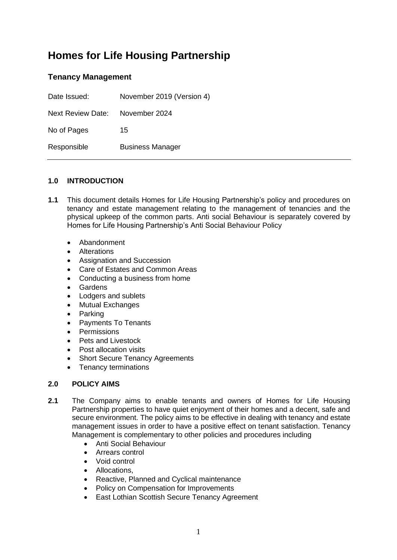# **Homes for Life Housing Partnership**

# **Tenancy Management**

| Date Issued:             | November 2019 (Version 4) |
|--------------------------|---------------------------|
| <b>Next Review Date:</b> | November 2024             |
| No of Pages              | 15                        |
| Responsible              | <b>Business Manager</b>   |

## **1.0 INTRODUCTION**

- **1.1** This document details Homes for Life Housing Partnership's policy and procedures on tenancy and estate management relating to the management of tenancies and the physical upkeep of the common parts. Anti social Behaviour is separately covered by Homes for Life Housing Partnership's Anti Social Behaviour Policy
	- Abandonment
	- Alterations
	- Assignation and Succession
	- Care of Estates and Common Areas
	- Conducting a business from home
	- Gardens
	- Lodgers and sublets
	- Mutual Exchanges
	- Parking
	- Payments To Tenants
	- Permissions
	- Pets and Livestock
	- Post allocation visits
	- **Short Secure Tenancy Agreements**
	- Tenancy terminations

#### **2.0 POLICY AIMS**

- **2.1** The Company aims to enable tenants and owners of Homes for Life Housing Partnership properties to have quiet enjoyment of their homes and a decent, safe and secure environment. The policy aims to be effective in dealing with tenancy and estate management issues in order to have a positive effect on tenant satisfaction. Tenancy Management is complementary to other policies and procedures including
	- Anti Social Behaviour
	- Arrears control
	- Void control
	- Allocations,
	- Reactive, Planned and Cyclical maintenance
	- Policy on Compensation for Improvements
	- East Lothian Scottish Secure Tenancy Agreement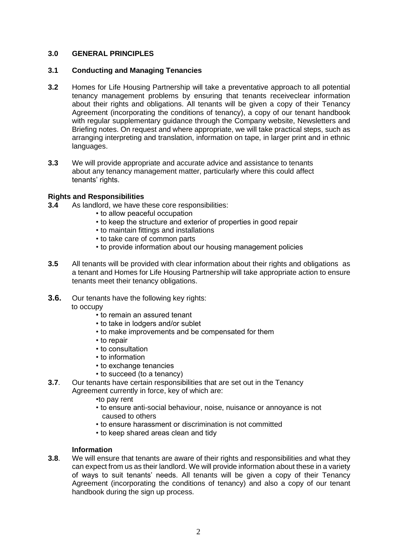#### **3.0 GENERAL PRINCIPLES**

#### **3.1 Conducting and Managing Tenancies**

- **3.2** Homes for Life Housing Partnership will take a preventative approach to all potential tenancy management problems by ensuring that tenants receiveclear information about their rights and obligations. All tenants will be given a copy of their Tenancy Agreement (incorporating the conditions of tenancy), a copy of our tenant handbook with regular supplementary guidance through the Company website. Newsletters and Briefing notes. On request and where appropriate, we will take practical steps, such as arranging interpreting and translation, information on tape, in larger print and in ethnic languages.
- **3.3** We will provide appropriate and accurate advice and assistance to tenants about any tenancy management matter, particularly where this could affect tenants' rights.

#### **Rights and Responsibilities**

- **3.4** As landlord, we have these core responsibilities:
	- to allow peaceful occupation
	- to keep the structure and exterior of properties in good repair
	- to maintain fittings and installations
	- to take care of common parts
	- to provide information about our housing management policies
- **3.5** All tenants will be provided with clear information about their rights and obligations as a tenant and Homes for Life Housing Partnership will take appropriate action to ensure tenants meet their tenancy obligations.
- **3.6.** Our tenants have the following key rights: to occupy
	- to remain an assured tenant
	- to take in lodgers and/or sublet
	- to make improvements and be compensated for them
	- to repair
	- to consultation
	- to information
	- to exchange tenancies
	- to succeed (to a tenancy)
- **3.7**. Our tenants have certain responsibilities that are set out in the Tenancy
	- Agreement currently in force, key of which are:
		- •to pay rent
		- to ensure anti-social behaviour, noise, nuisance or annoyance is not caused to others
		- to ensure harassment or discrimination is not committed
		- to keep shared areas clean and tidy

#### **Information**

**3.8**. We will ensure that tenants are aware of their rights and responsibilities and what they can expect from us as their landlord. We will provide information about these in a variety of ways to suit tenants' needs. All tenants will be given a copy of their Tenancy Agreement (incorporating the conditions of tenancy) and also a copy of our tenant handbook during the sign up process.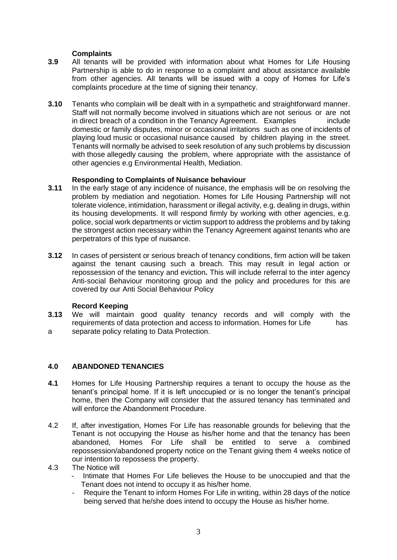#### **Complaints**

- **3.9** All tenants will be provided with information about what Homes for Life Housing Partnership is able to do in response to a complaint and about assistance available from other agencies. All tenants will be issued with a copy of Homes for Life's complaints procedure at the time of signing their tenancy.
- **3.10** Tenants who complain will be dealt with in a sympathetic and straightforward manner. Staff will not normally become involved in situations which are not serious or are not in direct breach of a condition in the Tenancy Agreement. Examples include domestic or family disputes, minor or occasional irritations such as one of incidents of playing loud music or occasional nuisance caused by children playing in the street. Tenants will normally be advised to seek resolution of any such problems by discussion with those allegedly causing the problem, where appropriate with the assistance of other agencies e.g Environmental Health, Mediation.

#### **Responding to Complaints of Nuisance behaviour**

- **3.11** In the early stage of any incidence of nuisance, the emphasis will be on resolving the problem by mediation and negotiation. Homes for Life Housing Partnership will not tolerate violence, intimidation, harassment or illegal activity, e.g. dealing in drugs, within its housing developments. It will respond firmly by working with other agencies, e.g. police, social work departments or victim support to address the problems and by taking the strongest action necessary within the Tenancy Agreement against tenants who are perpetrators of this type of nuisance.
- **3.12** In cases of persistent or serious breach of tenancy conditions, firm action will be taken against the tenant causing such a breach. This may result in legal action or repossession of the tenancy and eviction**.** This will include referral to the inter agency Anti-social Behaviour monitoring group and the policy and procedures for this are covered by our Anti Social Behaviour Policy

#### **Record Keeping**

**3.13** We will maintain good quality tenancy records and will comply with the requirements of data protection and access to information. Homes for Life has a separate policy relating to Data Protection.

#### **4.0 ABANDONED TENANCIES**

- **4.1** Homes for Life Housing Partnership requires a tenant to occupy the house as the tenant's principal home. If it is left unoccupied or is no longer the tenant's principal home, then the Company will consider that the assured tenancy has terminated and will enforce the Abandonment Procedure.
- 4.2 If, after investigation, Homes For Life has reasonable grounds for believing that the Tenant is not occupying the House as his/her home and that the tenancy has been abandoned, Homes For Life shall be entitled to serve a combined repossession/abandoned property notice on the Tenant giving them 4 weeks notice of our intention to repossess the property.
- 4.3 The Notice will
	- Intimate that Homes For Life believes the House to be unoccupied and that the Tenant does not intend to occupy it as his/her home.
	- Require the Tenant to inform Homes For Life in writing, within 28 days of the notice being served that he/she does intend to occupy the House as his/her home.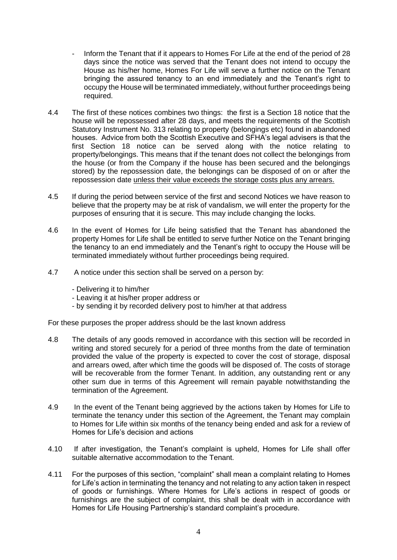- Inform the Tenant that if it appears to Homes For Life at the end of the period of 28 days since the notice was served that the Tenant does not intend to occupy the House as his/her home, Homes For Life will serve a further notice on the Tenant bringing the assured tenancy to an end immediately and the Tenant's right to occupy the House will be terminated immediately, without further proceedings being required.
- 4.4 The first of these notices combines two things: the first is a Section 18 notice that the house will be repossessed after 28 days, and meets the requirements of the Scottish Statutory Instrument No. 313 relating to property (belongings etc) found in abandoned houses. Advice from both the Scottish Executive and SFHA's legal advisers is that the first Section 18 notice can be served along with the notice relating to property/belongings. This means that if the tenant does not collect the belongings from the house (or from the Company if the house has been secured and the belongings stored) by the repossession date, the belongings can be disposed of on or after the repossession date unless their value exceeds the storage costs plus any arrears.
- 4.5 If during the period between service of the first and second Notices we have reason to believe that the property may be at risk of vandalism, we will enter the property for the purposes of ensuring that it is secure. This may include changing the locks.
- 4.6 In the event of Homes for Life being satisfied that the Tenant has abandoned the property Homes for Life shall be entitled to serve further Notice on the Tenant bringing the tenancy to an end immediately and the Tenant's right to occupy the House will be terminated immediately without further proceedings being required.
- 4.7 A notice under this section shall be served on a person by:
	- Delivering it to him/her
	- Leaving it at his/her proper address or
	- by sending it by recorded delivery post to him/her at that address

For these purposes the proper address should be the last known address

- 4.8 The details of any goods removed in accordance with this section will be recorded in writing and stored securely for a period of three months from the date of termination provided the value of the property is expected to cover the cost of storage, disposal and arrears owed, after which time the goods will be disposed of. The costs of storage will be recoverable from the former Tenant. In addition, any outstanding rent or any other sum due in terms of this Agreement will remain payable notwithstanding the termination of the Agreement.
- 4.9 In the event of the Tenant being aggrieved by the actions taken by Homes for Life to terminate the tenancy under this section of the Agreement, the Tenant may complain to Homes for Life within six months of the tenancy being ended and ask for a review of Homes for Life's decision and actions
- 4.10 If after investigation, the Tenant's complaint is upheld, Homes for Life shall offer suitable alternative accommodation to the Tenant.
- 4.11 For the purposes of this section, "complaint" shall mean a complaint relating to Homes for Life's action in terminating the tenancy and not relating to any action taken in respect of goods or furnishings. Where Homes for Life's actions in respect of goods or furnishings are the subject of complaint, this shall be dealt with in accordance with Homes for Life Housing Partnership's standard complaint's procedure.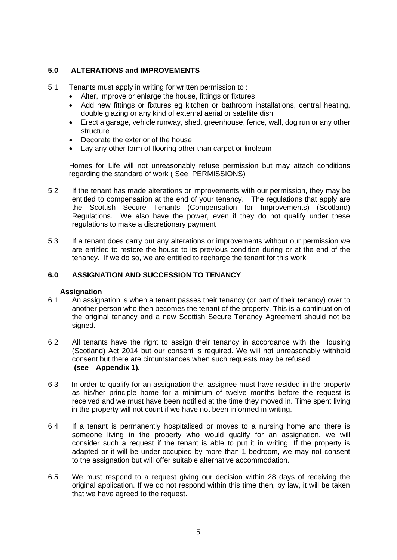## **5.0 ALTERATIONS and IMPROVEMENTS**

- 5.1 Tenants must apply in writing for written permission to :
	- Alter, improve or enlarge the house, fittings or fixtures
	- Add new fittings or fixtures eg kitchen or bathroom installations, central heating, double glazing or any kind of external aerial or satellite dish
	- Erect a garage, vehicle runway, shed, greenhouse, fence, wall, dog run or any other structure
	- Decorate the exterior of the house
	- Lay any other form of flooring other than carpet or linoleum

Homes for Life will not unreasonably refuse permission but may attach conditions regarding the standard of work ( See PERMISSIONS)

- 5.2 If the tenant has made alterations or improvements with our permission, they may be entitled to compensation at the end of your tenancy. The regulations that apply are the Scottish Secure Tenants (Compensation for Improvements) (Scotland) Regulations. We also have the power, even if they do not qualify under these regulations to make a discretionary payment
- 5.3 If a tenant does carry out any alterations or improvements without our permission we are entitled to restore the house to its previous condition during or at the end of the tenancy. If we do so, we are entitled to recharge the tenant for this work

#### **6.0 ASSIGNATION AND SUCCESSION TO TENANCY**

#### **Assignation**

- 6.1 An assignation is when a tenant passes their tenancy (or part of their tenancy) over to another person who then becomes the tenant of the property. This is a continuation of the original tenancy and a new Scottish Secure Tenancy Agreement should not be signed.
- 6.2 All tenants have the right to assign their tenancy in accordance with the Housing (Scotland) Act 2014 but our consent is required. We will not unreasonably withhold consent but there are circumstances when such requests may be refused. **(see Appendix 1).**
- 6.3 In order to qualify for an assignation the, assignee must have resided in the property as his/her principle home for a minimum of twelve months before the request is received and we must have been notified at the time they moved in. Time spent living in the property will not count if we have not been informed in writing.
- 6.4 If a tenant is permanently hospitalised or moves to a nursing home and there is someone living in the property who would qualify for an assignation, we will consider such a request if the tenant is able to put it in writing. If the property is adapted or it will be under-occupied by more than 1 bedroom, we may not consent to the assignation but will offer suitable alternative accommodation.
- 6.5 We must respond to a request giving our decision within 28 days of receiving the original application. If we do not respond within this time then, by law, it will be taken that we have agreed to the request.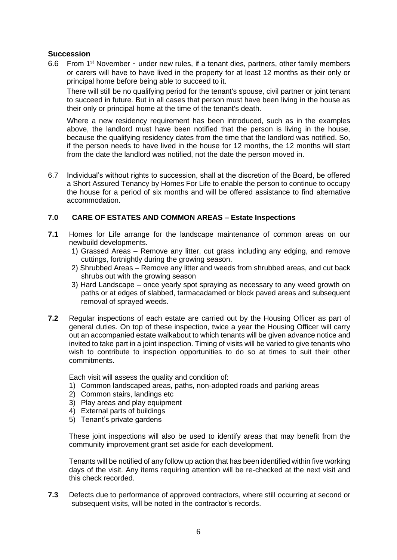## **Succession**

6.6 From 1st November - under new rules, if a tenant dies, partners, other family members or carers will have to have lived in the property for at least 12 months as their only or principal home before being able to succeed to it.

There will still be no qualifying period for the tenant's spouse, civil partner or joint tenant to succeed in future. But in all cases that person must have been living in the house as their only or principal home at the time of the tenant's death.

Where a new residency requirement has been introduced, such as in the examples above, the landlord must have been notified that the person is living in the house, because the qualifying residency dates from the time that the landlord was notified. So, if the person needs to have lived in the house for 12 months, the 12 months will start from the date the landlord was notified, not the date the person moved in.

6.7 Individual's without rights to succession, shall at the discretion of the Board, be offered a Short Assured Tenancy by Homes For Life to enable the person to continue to occupy the house for a period of six months and will be offered assistance to find alternative accommodation.

## **7.0 CARE OF ESTATES AND COMMON AREAS – Estate Inspections**

- **7.1** Homes for Life arrange for the landscape maintenance of common areas on our newbuild developments.
	- 1) Grassed Areas Remove any litter, cut grass including any edging, and remove cuttings, fortnightly during the growing season.
	- 2) Shrubbed Areas Remove any litter and weeds from shrubbed areas, and cut back shrubs out with the growing season
	- 3) Hard Landscape once yearly spot spraying as necessary to any weed growth on paths or at edges of slabbed, tarmacadamed or block paved areas and subsequent removal of sprayed weeds.
- **7.2** Regular inspections of each estate are carried out by the Housing Officer as part of general duties. On top of these inspection, twice a year the Housing Officer will carry out an accompanied estate walkabout to which tenants will be given advance notice and invited to take part in a joint inspection. Timing of visits will be varied to give tenants who wish to contribute to inspection opportunities to do so at times to suit their other commitments.

Each visit will assess the quality and condition of:

- 1) Common landscaped areas, paths, non-adopted roads and parking areas
- 2) Common stairs, landings etc
- 3) Play areas and play equipment
- 4) External parts of buildings
- 5) Tenant's private gardens

These joint inspections will also be used to identify areas that may benefit from the community improvement grant set aside for each development.

Tenants will be notified of any follow up action that has been identified within five working days of the visit. Any items requiring attention will be re-checked at the next visit and this check recorded.

**7.3** Defects due to performance of approved contractors, where still occurring at second or subsequent visits, will be noted in the contractor's records.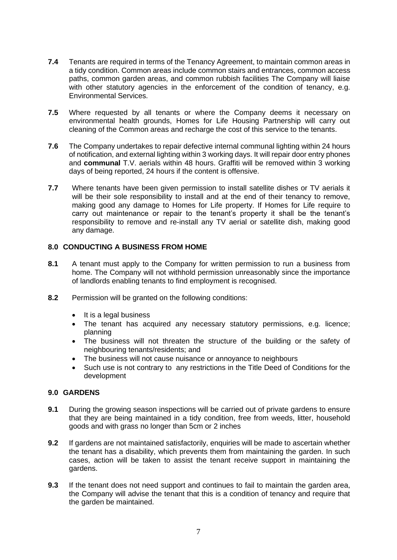- **7.4** Tenants are required in terms of the Tenancy Agreement, to maintain common areas in a tidy condition. Common areas include common stairs and entrances, common access paths, common garden areas, and common rubbish facilities The Company will liaise with other statutory agencies in the enforcement of the condition of tenancy, e.g. Environmental Services.
- **7.5** Where requested by all tenants or where the Company deems it necessary on environmental health grounds, Homes for Life Housing Partnership will carry out cleaning of the Common areas and recharge the cost of this service to the tenants.
- **7.6** The Company undertakes to repair defective internal communal lighting within 24 hours of notification, and external lighting within 3 working days. It will repair door entry phones and **communal** T.V. aerials within 48 hours. Graffiti will be removed within 3 working days of being reported, 24 hours if the content is offensive.
- **7.7** Where tenants have been given permission to install satellite dishes or TV aerials it will be their sole responsibility to install and at the end of their tenancy to remove, making good any damage to Homes for Life property. If Homes for Life require to carry out maintenance or repair to the tenant's property it shall be the tenant's responsibility to remove and re-install any TV aerial or satellite dish, making good any damage.

## **8.0 CONDUCTING A BUSINESS FROM HOME**

- **8.1** A tenant must apply to the Company for written permission to run a business from home. The Company will not withhold permission unreasonably since the importance of landlords enabling tenants to find employment is recognised.
- **8.2** Permission will be granted on the following conditions:
	- It is a legal business
	- The tenant has acquired any necessary statutory permissions, e.g. licence; planning
	- The business will not threaten the structure of the building or the safety of neighbouring tenants/residents; and
	- The business will not cause nuisance or annoyance to neighbours
	- Such use is not contrary to any restrictions in the Title Deed of Conditions for the development

#### **9.0 GARDENS**

- **9.1** During the growing season inspections will be carried out of private gardens to ensure that they are being maintained in a tidy condition, free from weeds, litter, household goods and with grass no longer than 5cm or 2 inches
- **9.2** If gardens are not maintained satisfactorily, enquiries will be made to ascertain whether the tenant has a disability, which prevents them from maintaining the garden. In such cases, action will be taken to assist the tenant receive support in maintaining the gardens.
- **9.3** If the tenant does not need support and continues to fail to maintain the garden area, the Company will advise the tenant that this is a condition of tenancy and require that the garden be maintained.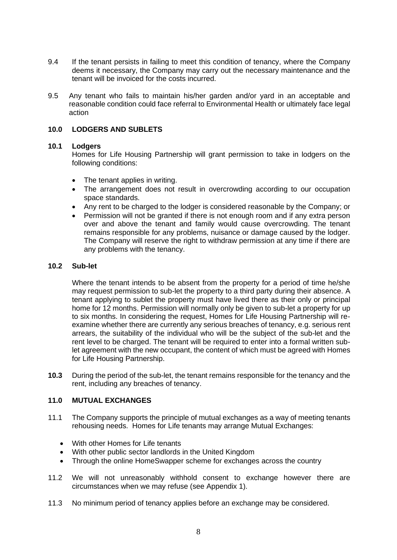- 9.4 If the tenant persists in failing to meet this condition of tenancy, where the Company deems it necessary, the Company may carry out the necessary maintenance and the tenant will be invoiced for the costs incurred.
- 9.5 Any tenant who fails to maintain his/her garden and/or yard in an acceptable and reasonable condition could face referral to Environmental Health or ultimately face legal action

#### **10.0 LODGERS AND SUBLETS**

#### **10.1 Lodgers**

Homes for Life Housing Partnership will grant permission to take in lodgers on the following conditions:

- The tenant applies in writing.
- The arrangement does not result in overcrowding according to our occupation space standards.
- Any rent to be charged to the lodger is considered reasonable by the Company; or
- Permission will not be granted if there is not enough room and if any extra person over and above the tenant and family would cause overcrowding. The tenant remains responsible for any problems, nuisance or damage caused by the lodger. The Company will reserve the right to withdraw permission at any time if there are any problems with the tenancy.

#### **10.2 Sub-let**

Where the tenant intends to be absent from the property for a period of time he/she may request permission to sub-let the property to a third party during their absence. A tenant applying to sublet the property must have lived there as their only or principal home for 12 months. Permission will normally only be given to sub-let a property for up to six months. In considering the request, Homes for Life Housing Partnership will reexamine whether there are currently any serious breaches of tenancy, e.g. serious rent arrears, the suitability of the individual who will be the subject of the sub-let and the rent level to be charged. The tenant will be required to enter into a formal written sublet agreement with the new occupant, the content of which must be agreed with Homes for Life Housing Partnership.

**10.3** During the period of the sub-let, the tenant remains responsible for the tenancy and the rent, including any breaches of tenancy.

#### **11.0 MUTUAL EXCHANGES**

- 11.1 The Company supports the principle of mutual exchanges as a way of meeting tenants rehousing needs. Homes for Life tenants may arrange Mutual Exchanges:
	- With other Homes for Life tenants
	- With other public sector landlords in the United Kingdom
	- Through the online HomeSwapper scheme for exchanges across the country
- 11.2 We will not unreasonably withhold consent to exchange however there are circumstances when we may refuse (see Appendix 1).
- 11.3 No minimum period of tenancy applies before an exchange may be considered.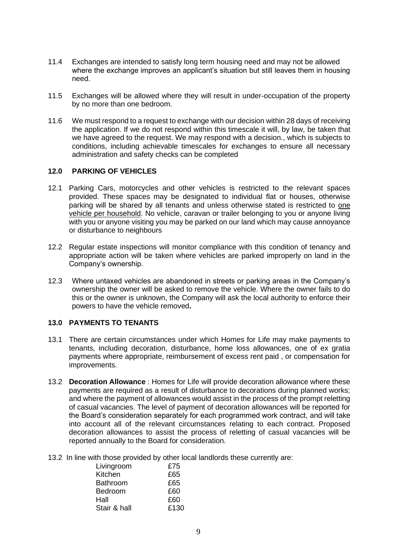- 11.4 Exchanges are intended to satisfy long term housing need and may not be allowed where the exchange improves an applicant's situation but still leaves them in housing need.
- 11.5 Exchanges will be allowed where they will result in under-occupation of the property by no more than one bedroom.
- 11.6 We must respond to a request to exchange with our decision within 28 days of receiving the application. If we do not respond within this timescale it will, by law, be taken that we have agreed to the request. We may respond with a decision., which is subjects to conditions, including achievable timescales for exchanges to ensure all necessary administration and safety checks can be completed

#### **12.0 PARKING OF VEHICLES**

- 12.1 Parking Cars, motorcycles and other vehicles is restricted to the relevant spaces provided. These spaces may be designated to individual flat or houses, otherwise parking will be shared by all tenants and unless otherwise stated is restricted to one vehicle per household. No vehicle, caravan or trailer belonging to you or anyone living with you or anyone visiting you may be parked on our land which may cause annoyance or disturbance to neighbours
- 12.2 Regular estate inspections will monitor compliance with this condition of tenancy and appropriate action will be taken where vehicles are parked improperly on land in the Company's ownership.
- 12.3 Where untaxed vehicles are abandoned in streets or parking areas in the Company's ownership the owner will be asked to remove the vehicle. Where the owner fails to do this or the owner is unknown, the Company will ask the local authority to enforce their powers to have the vehicle removed**.**

#### **13.0 PAYMENTS TO TENANTS**

- 13.1 There are certain circumstances under which Homes for Life may make payments to tenants, including decoration, disturbance, home loss allowances, one of ex gratia payments where appropriate, reimbursement of excess rent paid , or compensation for improvements.
- 13.2 **Decoration Allowance** : Homes for Life will provide decoration allowance where these payments are required as a result of disturbance to decorations during planned works; and where the payment of allowances would assist in the process of the prompt reletting of casual vacancies. The level of payment of decoration allowances will be reported for the Board's consideration separately for each programmed work contract, and will take into account all of the relevant circumstances relating to each contract. Proposed decoration allowances to assist the process of reletting of casual vacancies will be reported annually to the Board for consideration.
- 13.2 In line with those provided by other local landlords these currently are:

| Livingroom      | £75  |
|-----------------|------|
| Kitchen         | £65  |
| <b>Bathroom</b> | £65  |
| Bedroom         | £60  |
| Hall            | £60  |
| Stair & hall    | £130 |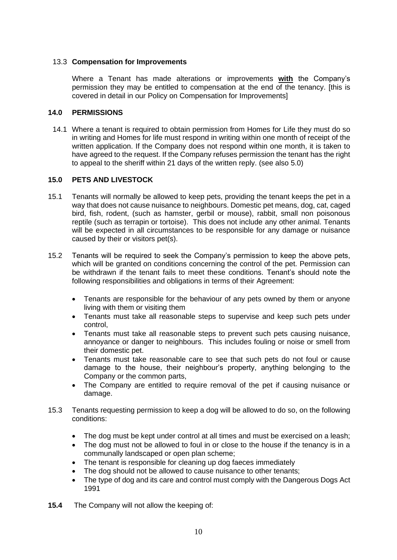#### 13.3 **Compensation for Improvements**

Where a Tenant has made alterations or improvements **with** the Company's permission they may be entitled to compensation at the end of the tenancy. [this is covered in detail in our Policy on Compensation for Improvements]

#### **14.0 PERMISSIONS**

14.1 Where a tenant is required to obtain permission from Homes for Life they must do so in writing and Homes for life must respond in writing within one month of receipt of the written application. If the Company does not respond within one month, it is taken to have agreed to the request. If the Company refuses permission the tenant has the right to appeal to the sheriff within 21 days of the written reply. (see also 5.0)

## **15.0 PETS AND LIVESTOCK**

- 15.1 Tenants will normally be allowed to keep pets, providing the tenant keeps the pet in a way that does not cause nuisance to neighbours. Domestic pet means, dog, cat, caged bird, fish, rodent, (such as hamster, gerbil or mouse), rabbit, small non poisonous reptile (such as terrapin or tortoise). This does not include any other animal. Tenants will be expected in all circumstances to be responsible for any damage or nuisance caused by their or visitors pet(s).
- 15.2 Tenants will be required to seek the Company's permission to keep the above pets, which will be granted on conditions concerning the control of the pet. Permission can be withdrawn if the tenant fails to meet these conditions. Tenant's should note the following responsibilities and obligations in terms of their Agreement:
	- Tenants are responsible for the behaviour of any pets owned by them or anyone living with them or visiting them
	- Tenants must take all reasonable steps to supervise and keep such pets under control,
	- Tenants must take all reasonable steps to prevent such pets causing nuisance, annoyance or danger to neighbours. This includes fouling or noise or smell from their domestic pet.
	- Tenants must take reasonable care to see that such pets do not foul or cause damage to the house, their neighbour's property, anything belonging to the Company or the common parts,
	- The Company are entitled to require removal of the pet if causing nuisance or damage.
- 15.3 Tenants requesting permission to keep a dog will be allowed to do so, on the following conditions:
	- The dog must be kept under control at all times and must be exercised on a leash;
	- The dog must not be allowed to foul in or close to the house if the tenancy is in a communally landscaped or open plan scheme;
	- The tenant is responsible for cleaning up dog faeces immediately
	- The dog should not be allowed to cause nuisance to other tenants;
	- The type of dog and its care and control must comply with the Dangerous Dogs Act 1991
- **15.4** The Company will not allow the keeping of: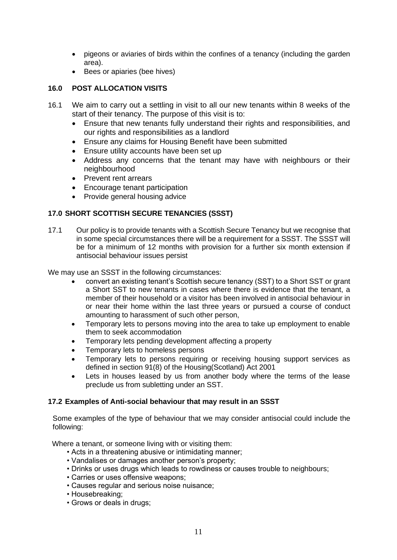- pigeons or aviaries of birds within the confines of a tenancy (including the garden area).
- Bees or apiaries (bee hives)

# **16.0 POST ALLOCATION VISITS**

- 16.1 We aim to carry out a settling in visit to all our new tenants within 8 weeks of the start of their tenancy. The purpose of this visit is to:
	- Ensure that new tenants fully understand their rights and responsibilities, and our rights and responsibilities as a landlord
	- Ensure any claims for Housing Benefit have been submitted
	- Ensure utility accounts have been set up
	- Address any concerns that the tenant may have with neighbours or their neighbourhood
	- Prevent rent arrears
	- Encourage tenant participation
	- Provide general housing advice

# **17.0 SHORT SCOTTISH SECURE TENANCIES (SSST)**

17.1 Our policy is to provide tenants with a Scottish Secure Tenancy but we recognise that in some special circumstances there will be a requirement for a SSST. The SSST will be for a minimum of 12 months with provision for a further six month extension if antisocial behaviour issues persist

We may use an SSST in the following circumstances:

- convert an existing tenant's Scottish secure tenancy (SST) to a Short SST or grant a Short SST to new tenants in cases where there is evidence that the tenant, a member of their household or a visitor has been involved in antisocial behaviour in or near their home within the last three years or pursued a course of conduct amounting to harassment of such other person,
- Temporary lets to persons moving into the area to take up employment to enable them to seek accommodation
- Temporary lets pending development affecting a property
- Temporary lets to homeless persons
- Temporary lets to persons requiring or receiving housing support services as defined in section 91(8) of the Housing(Scotland) Act 2001
- Lets in houses leased by us from another body where the terms of the lease preclude us from subletting under an SST.

## **17.2 Examples of Anti-social behaviour that may result in an SSST**

Some examples of the type of behaviour that we may consider antisocial could include the following:

Where a tenant, or someone living with or visiting them:

- Acts in a threatening abusive or intimidating manner;
- Vandalises or damages another person's property;
- Drinks or uses drugs which leads to rowdiness or causes trouble to neighbours;
- Carries or uses offensive weapons;
- Causes regular and serious noise nuisance;
- Housebreaking;
- Grows or deals in drugs;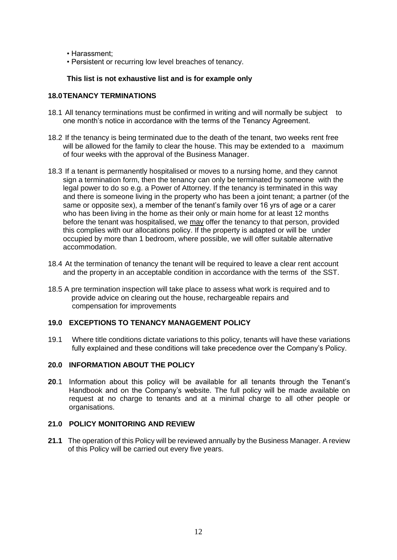- Harassment;
- Persistent or recurring low level breaches of tenancy.

#### **This list is not exhaustive list and is for example only**

#### **18.0TENANCY TERMINATIONS**

- 18.1 All tenancy terminations must be confirmed in writing and will normally be subject to one month's notice in accordance with the terms of the Tenancy Agreement.
- 18.2 If the tenancy is being terminated due to the death of the tenant, two weeks rent free will be allowed for the family to clear the house. This may be extended to a maximum of four weeks with the approval of the Business Manager.
- 18.3 If a tenant is permanently hospitalised or moves to a nursing home, and they cannot sign a termination form, then the tenancy can only be terminated by someone with the legal power to do so e.g. a Power of Attorney. If the tenancy is terminated in this way and there is someone living in the property who has been a joint tenant; a partner (of the same or opposite sex), a member of the tenant's family over 16 yrs of age or a carer who has been living in the home as their only or main home for at least 12 months before the tenant was hospitalised, we may offer the tenancy to that person, provided this complies with our allocations policy. If the property is adapted or will be under occupied by more than 1 bedroom, where possible, we will offer suitable alternative accommodation.
- 18.4 At the termination of tenancy the tenant will be required to leave a clear rent account and the property in an acceptable condition in accordance with the terms of the SST.
- 18.5 A pre termination inspection will take place to assess what work is required and to provide advice on clearing out the house, rechargeable repairs and compensation for improvements

#### **19.0 EXCEPTIONS TO TENANCY MANAGEMENT POLICY**

19.1 Where title conditions dictate variations to this policy, tenants will have these variations fully explained and these conditions will take precedence over the Company's Policy.

#### **20.0 INFORMATION ABOUT THE POLICY**

**20**.1 Information about this policy will be available for all tenants through the Tenant's Handbook and on the Company's website. The full policy will be made available on request at no charge to tenants and at a minimal charge to all other people or organisations.

#### **21.0 POLICY MONITORING AND REVIEW**

**21.1** The operation of this Policy will be reviewed annually by the Business Manager. A review of this Policy will be carried out every five years.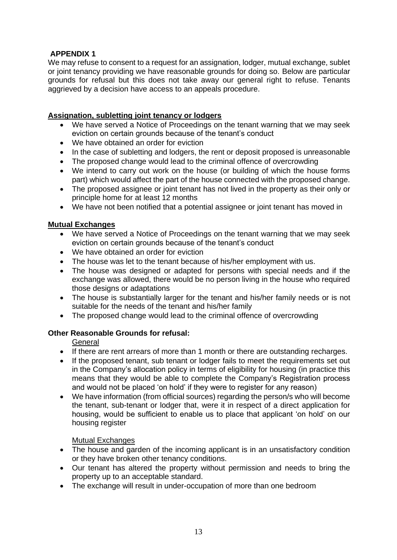# **APPENDIX 1**

We may refuse to consent to a request for an assignation, lodger, mutual exchange, sublet or joint tenancy providing we have reasonable grounds for doing so. Below are particular grounds for refusal but this does not take away our general right to refuse. Tenants aggrieved by a decision have access to an appeals procedure.

## **Assignation, subletting joint tenancy or lodgers**

- We have served a Notice of Proceedings on the tenant warning that we may seek eviction on certain grounds because of the tenant's conduct
- We have obtained an order for eviction
- In the case of subletting and lodgers, the rent or deposit proposed is unreasonable
- The proposed change would lead to the criminal offence of overcrowding
- We intend to carry out work on the house (or building of which the house forms part) which would affect the part of the house connected with the proposed change.
- The proposed assignee or joint tenant has not lived in the property as their only or principle home for at least 12 months
- We have not been notified that a potential assignee or joint tenant has moved in

## **Mutual Exchanges**

- We have served a Notice of Proceedings on the tenant warning that we may seek eviction on certain grounds because of the tenant's conduct
- We have obtained an order for eviction
- The house was let to the tenant because of his/her employment with us.
- The house was designed or adapted for persons with special needs and if the exchange was allowed, there would be no person living in the house who required those designs or adaptations
- The house is substantially larger for the tenant and his/her family needs or is not suitable for the needs of the tenant and his/her family
- The proposed change would lead to the criminal offence of overcrowding

## **Other Reasonable Grounds for refusal:**

General

- If there are rent arrears of more than 1 month or there are outstanding recharges.
- If the proposed tenant, sub tenant or lodger fails to meet the requirements set out in the Company's allocation policy in terms of eligibility for housing (in practice this means that they would be able to complete the Company's Registration process and would not be placed 'on hold' if they were to register for any reason)
- We have information (from official sources) regarding the person/s who will become the tenant, sub-tenant or lodger that, were it in respect of a direct application for housing, would be sufficient to enable us to place that applicant 'on hold' on our housing register

#### Mutual Exchanges

- The house and garden of the incoming applicant is in an unsatisfactory condition or they have broken other tenancy conditions.
- Our tenant has altered the property without permission and needs to bring the property up to an acceptable standard.
- The exchange will result in under-occupation of more than one bedroom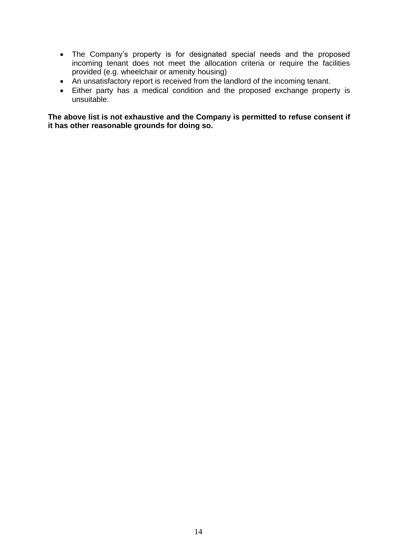- The Company's property is for designated special needs and the proposed incoming tenant does not meet the allocation criteria or require the facilities provided (e.g. wheelchair or amenity housing)
- An unsatisfactory report is received from the landlord of the incoming tenant.
- Either party has a medical condition and the proposed exchange property is unsuitable.

**The above list is not exhaustive and the Company is permitted to refuse consent if it has other reasonable grounds for doing so.**